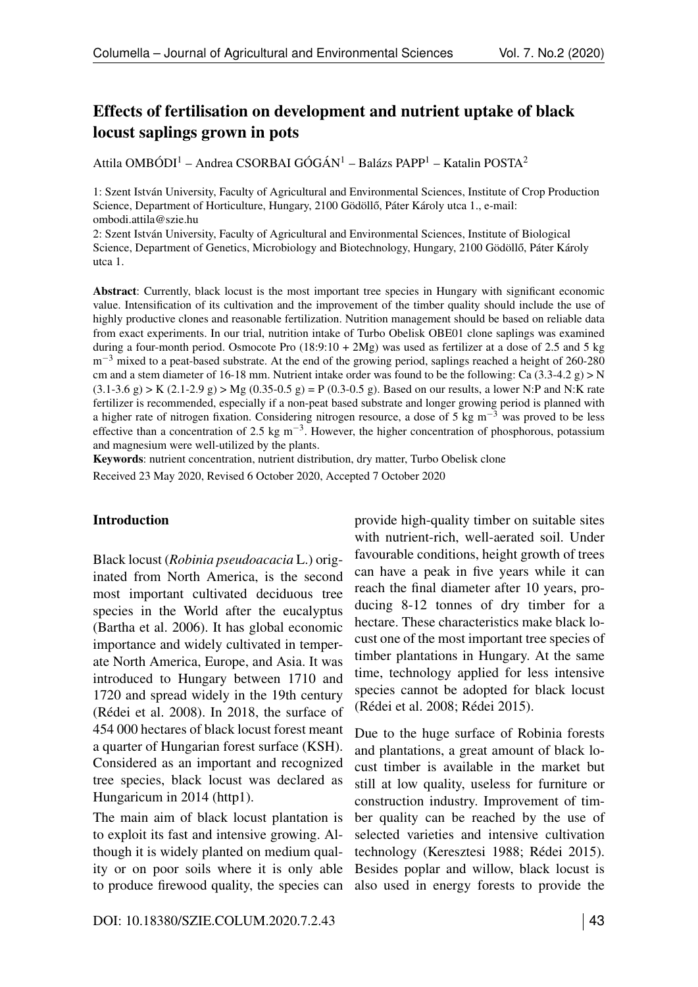# <span id="page-0-1"></span>Effects of fertilisation on development and nutrient uptake of black locust saplings grown in pots

Attila OMBÓDI<sup>1</sup> – Andrea CSORBAI GÓGÁN<sup>1</sup> – Balázs PAPP<sup>1</sup> – Katalin POSTA<sup>2</sup>

1: Szent István University, Faculty of Agricultural and Environmental Sciences, Institute of Crop Production Science, Department of Horticulture, Hungary, 2100 Gödöllő, Páter Károly utca 1., e-mail: <ombodi.attila@szie.hu>

2: Szent István University, Faculty of Agricultural and Environmental Sciences, Institute of Biological Science, Department of Genetics, Microbiology and Biotechnology, Hungary, 2100 Gödöllő, Páter Károly utca 1.

<span id="page-0-0"></span>Abstract: Currently, black locust is the most important tree species in Hungary with significant economic value. Intensification of its cultivation and the improvement of the timber quality should include the use of highly productive clones and reasonable fertilization. Nutrition management should be based on reliable data from exact experiments. In our trial, nutrition intake of Turbo Obelisk OBE01 clone saplings was examined during a four-month period. Osmocote Pro  $(18:9:10 + 2Mg)$  was used as fertilizer at a dose of 2.5 and 5 kg  $m<sup>-3</sup>$  mixed to a peat-based substrate. At the end of the growing period, saplings reached a height of 260-280 cm and a stem diameter of 16-18 mm. Nutrient intake order was found to be the following: Ca  $(3.3-4.2 g) > N$  $(3.1-3.6 \text{ g})$  > K  $(2.1-2.9 \text{ g})$  > Mg  $(0.35-0.5 \text{ g}) = P(0.3-0.5 \text{ g})$ . Based on our results, a lower N:P and N:K rate fertilizer is recommended, especially if a non-peat based substrate and longer growing period is planned with a higher rate of nitrogen fixation. Considering nitrogen resource, a dose of 5 kg  $m^{-3}$  was proved to be less effective than a concentration of 2.5 kg m<sup>-3</sup>. However, the higher concentration of phosphorous, potassium and magnesium were well-utilized by the plants.

Keywords: nutrient concentration, nutrient distribution, dry matter, Turbo Obelisk clone Received 23 May 2020, Revised 6 October 2020, Accepted 7 October 2020

#### Introduction

Black locust (*Robinia pseudoacacia* L.) originated from North America, is the second most important cultivated deciduous tree species in the World after the eucalyptus (Bartha et al. 2006). It has global economic importance and widely cultivated in temperate North America, Europe, and Asia. It was introduced to Hungary between 1710 and 1720 and spread widely in the 19th century (Rédei et al. 2008). In 2018, the surface of 454 000 hectares of black locust forest meant a quarter of Hungarian forest surface (KSH). Considered as an important and recognized tree species, black locust was declared as Hungaricum in 2014 (http1).

The main aim of black locust plantation is to exploit its fast and intensive growing. Although it is widely planted on medium quality or on poor soils where it is only able to produce firewood quality, the species can

provide high-quality timber on suitable sites with nutrient-rich, well-aerated soil. Under favourable conditions, height growth of trees can have a peak in five years while it can reach the final diameter after 10 years, producing 8-12 tonnes of dry timber for a hectare. These characteristics make black locust one of the most important tree species of timber plantations in Hungary. At the same time, technology applied for less intensive species cannot be adopted for black locust (Rédei et al. 2008; Rédei 2015).

Due to the huge surface of Robinia forests and plantations, a great amount of black locust timber is available in the market but still at low quality, useless for furniture or construction industry. Improvement of timber quality can be reached by the use of selected varieties and intensive cultivation technology (Keresztesi 1988; Rédei 2015). Besides poplar and willow, black locust is also used in energy forests to provide the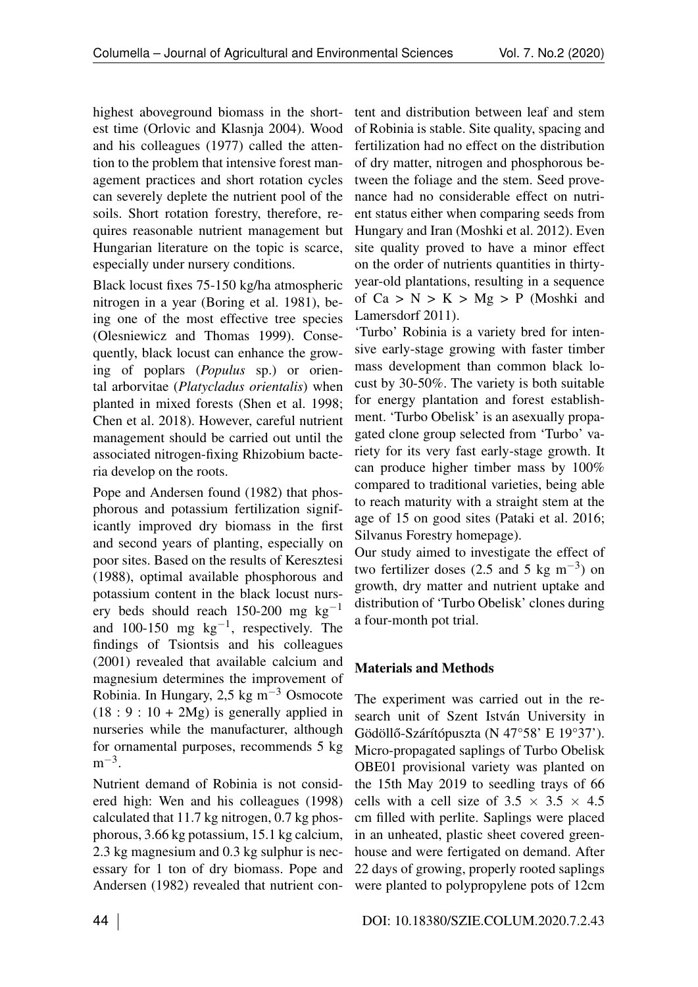highest aboveground biomass in the shortest time (Orlovic and Klasnja 2004). Wood and his colleagues (1977) called the attention to the problem that intensive forest management practices and short rotation cycles can severely deplete the nutrient pool of the soils. Short rotation forestry, therefore, requires reasonable nutrient management but Hungarian literature on the topic is scarce, especially under nursery conditions.

Black locust fixes 75-150 kg/ha atmospheric nitrogen in a year (Boring et al. 1981), being one of the most effective tree species (Olesniewicz and Thomas 1999). Consequently, black locust can enhance the growing of poplars (*Populus* sp.) or oriental arborvitae (*Platycladus orientalis*) when planted in mixed forests (Shen et al. 1998; Chen et al. 2018). However, careful nutrient management should be carried out until the associated nitrogen-fixing Rhizobium bacteria develop on the roots.

Pope and Andersen found (1982) that phosphorous and potassium fertilization significantly improved dry biomass in the first and second years of planting, especially on poor sites. Based on the results of Keresztesi (1988), optimal available phosphorous and potassium content in the black locust nursery beds should reach 150-200 mg  $kg^{-1}$ and 100-150 mg  $kg^{-1}$ , respectively. The findings of Tsiontsis and his colleagues (2001) revealed that available calcium and magnesium determines the improvement of Robinia. In Hungary, 2,5 kg  $\text{m}^{-3}$  Osmocote  $(18: 9: 10 + 2Mg)$  is generally applied in nurseries while the manufacturer, although for ornamental purposes, recommends 5 kg  $m^{-3}$ .

Nutrient demand of Robinia is not considered high: Wen and his colleagues (1998) calculated that 11.7 kg nitrogen, 0.7 kg phosphorous, 3.66 kg potassium, 15.1 kg calcium, 2.3 kg magnesium and 0.3 kg sulphur is necessary for 1 ton of dry biomass. Pope and Andersen (1982) revealed that nutrient content and distribution between leaf and stem of Robinia is stable. Site quality, spacing and fertilization had no effect on the distribution of dry matter, nitrogen and phosphorous between the foliage and the stem. Seed provenance had no considerable effect on nutrient status either when comparing seeds from Hungary and Iran (Moshki et al. 2012). Even site quality proved to have a minor effect on the order of nutrients quantities in thirtyyear-old plantations, resulting in a sequence of  $Ca > N > K > Mg > P$  (Moshki and Lamersdorf 2011).

'Turbo' Robinia is a variety bred for intensive early-stage growing with faster timber mass development than common black locust by 30-50%. The variety is both suitable for energy plantation and forest establishment. 'Turbo Obelisk' is an asexually propagated clone group selected from 'Turbo' variety for its very fast early-stage growth. It can produce higher timber mass by 100% compared to traditional varieties, being able to reach maturity with a straight stem at the age of 15 on good sites (Pataki et al. 2016; Silvanus Forestry homepage).

Our study aimed to investigate the effect of two fertilizer doses (2.5 and 5 kg  $\text{m}^{-3}$ ) on growth, dry matter and nutrient uptake and distribution of 'Turbo Obelisk' clones during a four-month pot trial.

# Materials and Methods

The experiment was carried out in the research unit of Szent István University in Gödöllő-Szárítópuszta (N 47°58' E 19°37'). Micro-propagated saplings of Turbo Obelisk OBE01 provisional variety was planted on the 15th May 2019 to seedling trays of 66 cells with a cell size of  $3.5 \times 3.5 \times 4.5$ cm filled with perlite. Saplings were placed in an unheated, plastic sheet covered greenhouse and were fertigated on demand. After 22 days of growing, properly rooted saplings were planted to polypropylene pots of 12cm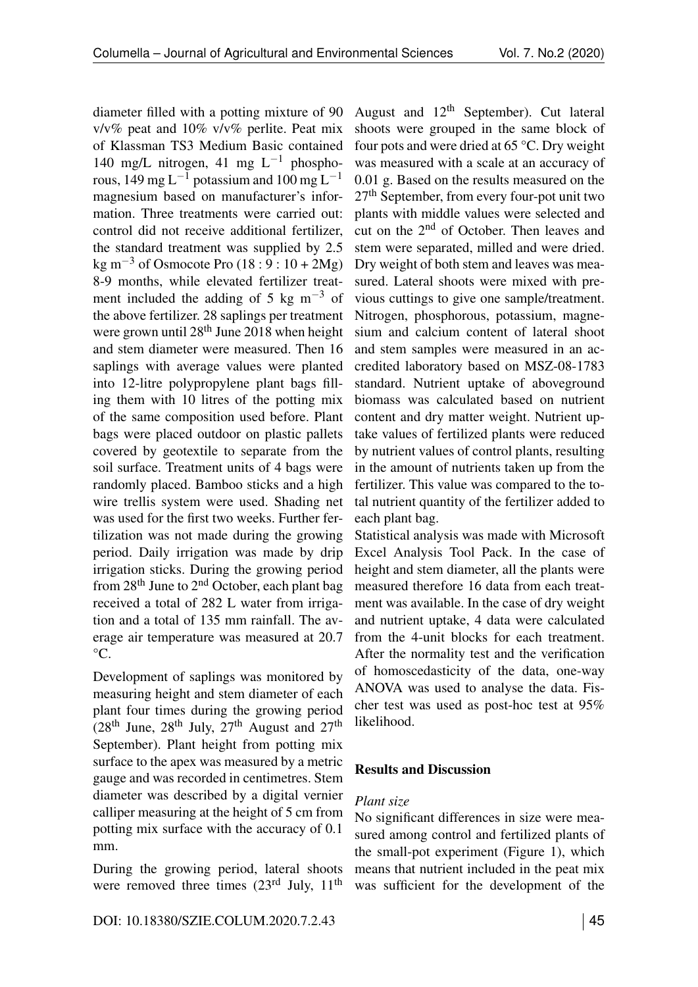diameter filled with a potting mixture of 90 v/v% peat and 10% v/v% perlite. Peat mix of Klassman TS3 Medium Basic contained 140 mg/L nitrogen, 41 mg  $L^{-1}$  phosphorous,  $149 \text{ mg L}^{-1}$  potassium and  $100 \text{ mg L}^{-1}$ magnesium based on manufacturer's information. Three treatments were carried out: control did not receive additional fertilizer, the standard treatment was supplied by 2.5 kg m<sup>-3</sup> of Osmocote Pro (18 : 9 : 10 + 2Mg) 8-9 months, while elevated fertilizer treatment included the adding of 5 kg  $m^{-3}$  of the above fertilizer. 28 saplings per treatment were grown until  $28<sup>th</sup>$  June 2018 when height and stem diameter were measured. Then 16 saplings with average values were planted into 12-litre polypropylene plant bags filling them with 10 litres of the potting mix of the same composition used before. Plant bags were placed outdoor on plastic pallets covered by geotextile to separate from the soil surface. Treatment units of 4 bags were randomly placed. Bamboo sticks and a high wire trellis system were used. Shading net was used for the first two weeks. Further fertilization was not made during the growing period. Daily irrigation was made by drip irrigation sticks. During the growing period from 28th June to 2nd October, each plant bag received a total of 282 L water from irrigation and a total of 135 mm rainfall. The average air temperature was measured at 20.7  $\rm{^{\circ}C}.$ 

Development of saplings was monitored by measuring height and stem diameter of each plant four times during the growing period  $(28<sup>th</sup>$  June,  $28<sup>th</sup>$  July,  $27<sup>th</sup>$  August and  $27<sup>th</sup>$ September). Plant height from potting mix surface to the apex was measured by a metric gauge and was recorded in centimetres. Stem diameter was described by a digital vernier calliper measuring at the height of 5 cm from potting mix surface with the accuracy of 0.1 mm.

During the growing period, lateral shoots were removed three times  $(23<sup>rd</sup>$  July,  $11<sup>th</sup>$ 

August and  $12<sup>th</sup>$  September). Cut lateral shoots were grouped in the same block of four pots and were dried at 65 °C. Dry weight was measured with a scale at an accuracy of 0.01 g. Based on the results measured on the 27th September, from every four-pot unit two plants with middle values were selected and cut on the 2nd of October. Then leaves and stem were separated, milled and were dried. Dry weight of both stem and leaves was measured. Lateral shoots were mixed with previous cuttings to give one sample/treatment. Nitrogen, phosphorous, potassium, magnesium and calcium content of lateral shoot and stem samples were measured in an accredited laboratory based on MSZ-08-1783 standard. Nutrient uptake of aboveground biomass was calculated based on nutrient content and dry matter weight. Nutrient uptake values of fertilized plants were reduced by nutrient values of control plants, resulting in the amount of nutrients taken up from the fertilizer. This value was compared to the total nutrient quantity of the fertilizer added to each plant bag.

Statistical analysis was made with Microsoft Excel Analysis Tool Pack. In the case of height and stem diameter, all the plants were measured therefore 16 data from each treatment was available. In the case of dry weight and nutrient uptake, 4 data were calculated from the 4-unit blocks for each treatment. After the normality test and the verification of homoscedasticity of the data, one-way ANOVA was used to analyse the data. Fischer test was used as post-hoc test at 95% likelihood.

## Results and Discussion

## *Plant size*

No significant differences in size were measured among control and fertilized plants of the small-pot experiment (Figure [1\)](#page-0-0), which means that nutrient included in the peat mix was sufficient for the development of the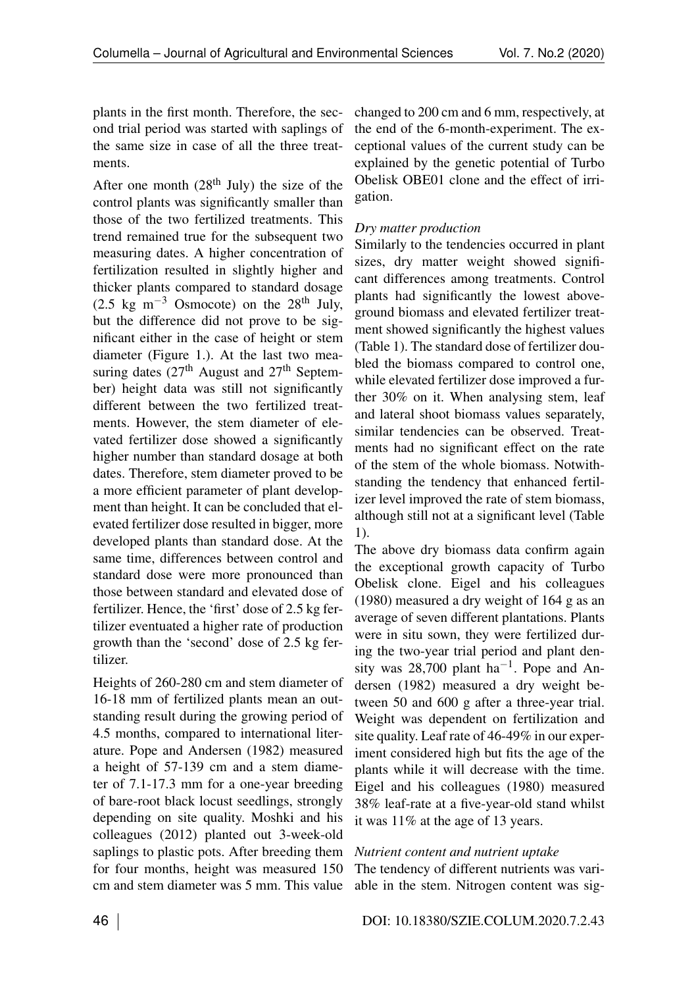plants in the first month. Therefore, the second trial period was started with saplings of the same size in case of all the three treatments.

After one month  $(28<sup>th</sup>$  July) the size of the control plants was significantly smaller than those of the two fertilized treatments. This trend remained true for the subsequent two measuring dates. A higher concentration of fertilization resulted in slightly higher and thicker plants compared to standard dosage  $(2.5 \text{ kg m}^{-3} \text{ Osmocote})$  on the 28<sup>th</sup> July, but the difference did not prove to be significant either in the case of height or stem diameter (Figure 1.). At the last two measuring dates  $(27<sup>th</sup>$  August and  $27<sup>th</sup>$  September) height data was still not significantly different between the two fertilized treatments. However, the stem diameter of elevated fertilizer dose showed a significantly higher number than standard dosage at both dates. Therefore, stem diameter proved to be a more efficient parameter of plant development than height. It can be concluded that elevated fertilizer dose resulted in bigger, more developed plants than standard dose. At the same time, differences between control and standard dose were more pronounced than those between standard and elevated dose of fertilizer. Hence, the 'first' dose of 2.5 kg fertilizer eventuated a higher rate of production growth than the 'second' dose of 2.5 kg fertilizer.

Heights of 260-280 cm and stem diameter of 16-18 mm of fertilized plants mean an outstanding result during the growing period of 4.5 months, compared to international literature. Pope and Andersen (1982) measured a height of 57-139 cm and a stem diameter of 7.1-17.3 mm for a one-year breeding of bare-root black locust seedlings, strongly depending on site quality. Moshki and his colleagues (2012) planted out 3-week-old saplings to plastic pots. After breeding them for four months, height was measured 150 cm and stem diameter was 5 mm. This value

changed to 200 cm and 6 mm, respectively, at the end of the 6-month-experiment. The exceptional values of the current study can be explained by the genetic potential of Turbo Obelisk OBE01 clone and the effect of irrigation.

## *Dry matter production*

Similarly to the tendencies occurred in plant sizes, dry matter weight showed significant differences among treatments. Control plants had significantly the lowest aboveground biomass and elevated fertilizer treatment showed significantly the highest values (Table [1\)](#page-0-1). The standard dose of fertilizer doubled the biomass compared to control one, while elevated fertilizer dose improved a further 30% on it. When analysing stem, leaf and lateral shoot biomass values separately, similar tendencies can be observed. Treatments had no significant effect on the rate of the stem of the whole biomass. Notwithstanding the tendency that enhanced fertilizer level improved the rate of stem biomass, although still not at a significant level (Table [1\)](#page-0-1).

The above dry biomass data confirm again the exceptional growth capacity of Turbo Obelisk clone. Eigel and his colleagues (1980) measured a dry weight of 164 g as an average of seven different plantations. Plants were in situ sown, they were fertilized during the two-year trial period and plant density was 28,700 plant  $ha^{-1}$ . Pope and Andersen (1982) measured a dry weight between 50 and 600 g after a three-year trial. Weight was dependent on fertilization and site quality. Leaf rate of 46-49% in our experiment considered high but fits the age of the plants while it will decrease with the time. Eigel and his colleagues (1980) measured 38% leaf-rate at a five-year-old stand whilst it was 11% at the age of 13 years.

## *Nutrient content and nutrient uptake*

The tendency of different nutrients was variable in the stem. Nitrogen content was sig-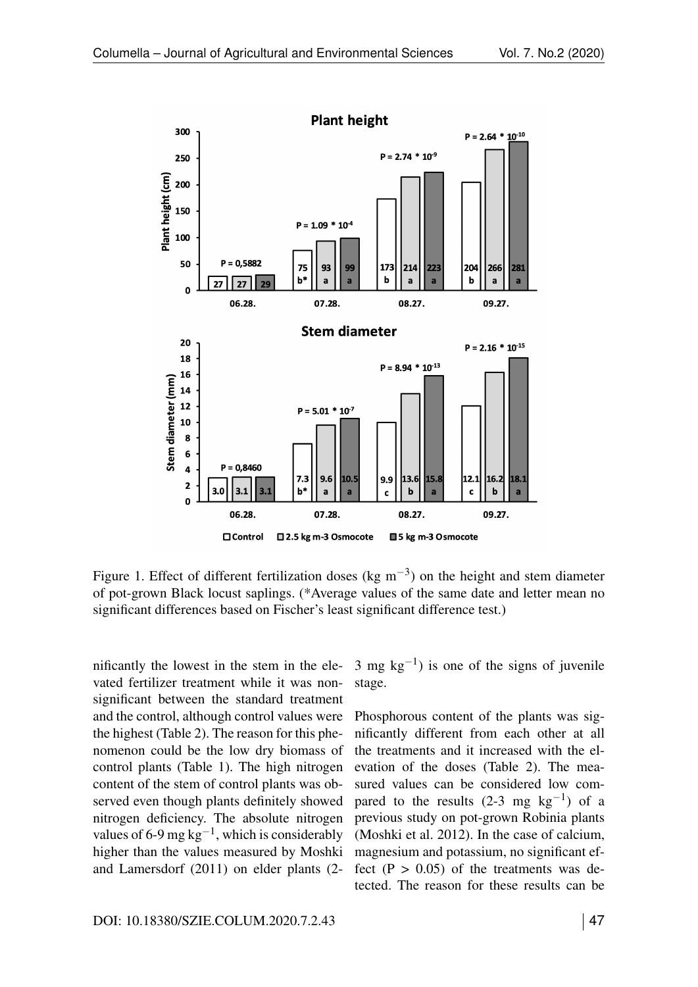

Figure 1. Effect of different fertilization doses (kg  $m^{-3}$ ) on the height and stem diameter of pot-grown Black locust saplings. (\*Average values of the same date and letter mean no significant differences based on Fischer's least significant difference test.)

nificantly the lowest in the stem in the elevated fertilizer treatment while it was nonsignificant between the standard treatment and the control, although control values were the highest (Table [2\)](#page-0-1). The reason for this phenomenon could be the low dry biomass of control plants (Table [1\)](#page-0-1). The high nitrogen content of the stem of control plants was observed even though plants definitely showed nitrogen deficiency. The absolute nitrogen values of 6-9 mg  $kg^{-1}$ , which is considerably higher than the values measured by Moshki and Lamersdorf (2011) on elder plants (23 mg  $kg^{-1}$ ) is one of the signs of juvenile stage.

Phosphorous content of the plants was significantly different from each other at all the treatments and it increased with the elevation of the doses (Table [2\)](#page-0-1). The measured values can be considered low compared to the results  $(2-3$  mg kg<sup>-1</sup>) of a previous study on pot-grown Robinia plants (Moshki et al. 2012). In the case of calcium, magnesium and potassium, no significant effect  $(P > 0.05)$  of the treatments was detected. The reason for these results can be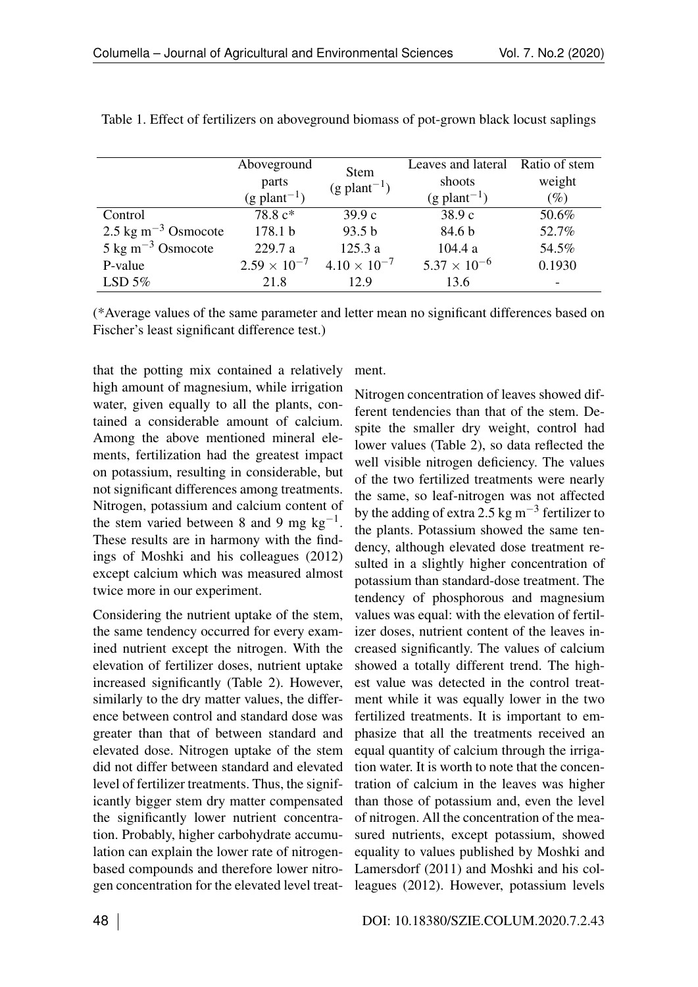|                                  | Aboveground                | <b>Stem</b>                | Leaves and lateral         | Ratio of stem |
|----------------------------------|----------------------------|----------------------------|----------------------------|---------------|
|                                  | parts                      | $(g$ plant <sup>-1</sup> ) | shoots                     | weight        |
|                                  | $(g$ plant <sup>-1</sup> ) |                            | $(g$ plant <sup>-1</sup> ) | $(\%)$        |
| Control                          | 78.8 c*                    | 39.9c                      | 38.9c                      | 50.6%         |
| $2.5 \text{ kg m}^{-3}$ Osmocote | 178.1 b                    | 93.5 b                     | 84.6 b                     | 52.7%         |
| $5 \text{ kg m}^{-3}$ Osmocote   | 229.7 a                    | 125.3a                     | 104.4 a                    | 54.5%         |
| P-value                          | $2.59 \times 10^{-7}$      | $4.10 \times 10^{-7}$      | $5.37 \times 10^{-6}$      | 0.1930        |
| LSD $5%$                         | 21.8                       | 12.9                       | 13.6                       |               |

Table 1. Effect of fertilizers on aboveground biomass of pot-grown black locust saplings

(\*Average values of the same parameter and letter mean no significant differences based on Fischer's least significant difference test.)

that the potting mix contained a relatively high amount of magnesium, while irrigation water, given equally to all the plants, contained a considerable amount of calcium. Among the above mentioned mineral elements, fertilization had the greatest impact on potassium, resulting in considerable, but not significant differences among treatments. Nitrogen, potassium and calcium content of the stem varied between 8 and 9 mg  $kg^{-1}$ . These results are in harmony with the findings of Moshki and his colleagues (2012) except calcium which was measured almost twice more in our experiment.

Considering the nutrient uptake of the stem, the same tendency occurred for every examined nutrient except the nitrogen. With the elevation of fertilizer doses, nutrient uptake increased significantly (Table [2\)](#page-0-1). However, similarly to the dry matter values, the difference between control and standard dose was greater than that of between standard and elevated dose. Nitrogen uptake of the stem did not differ between standard and elevated level of fertilizer treatments. Thus, the significantly bigger stem dry matter compensated the significantly lower nutrient concentration. Probably, higher carbohydrate accumulation can explain the lower rate of nitrogenbased compounds and therefore lower nitrogen concentration for the elevated level treat-

ment.

Nitrogen concentration of leaves showed different tendencies than that of the stem. Despite the smaller dry weight, control had lower values (Table [2\)](#page-0-1), so data reflected the well visible nitrogen deficiency. The values of the two fertilized treatments were nearly the same, so leaf-nitrogen was not affected by the adding of extra 2.5 kg  $\text{m}^{-3}$  fertilizer to the plants. Potassium showed the same tendency, although elevated dose treatment resulted in a slightly higher concentration of potassium than standard-dose treatment. The tendency of phosphorous and magnesium values was equal: with the elevation of fertilizer doses, nutrient content of the leaves increased significantly. The values of calcium showed a totally different trend. The highest value was detected in the control treatment while it was equally lower in the two fertilized treatments. It is important to emphasize that all the treatments received an equal quantity of calcium through the irrigation water. It is worth to note that the concentration of calcium in the leaves was higher than those of potassium and, even the level of nitrogen. All the concentration of the measured nutrients, except potassium, showed equality to values published by Moshki and Lamersdorf (2011) and Moshki and his colleagues (2012). However, potassium levels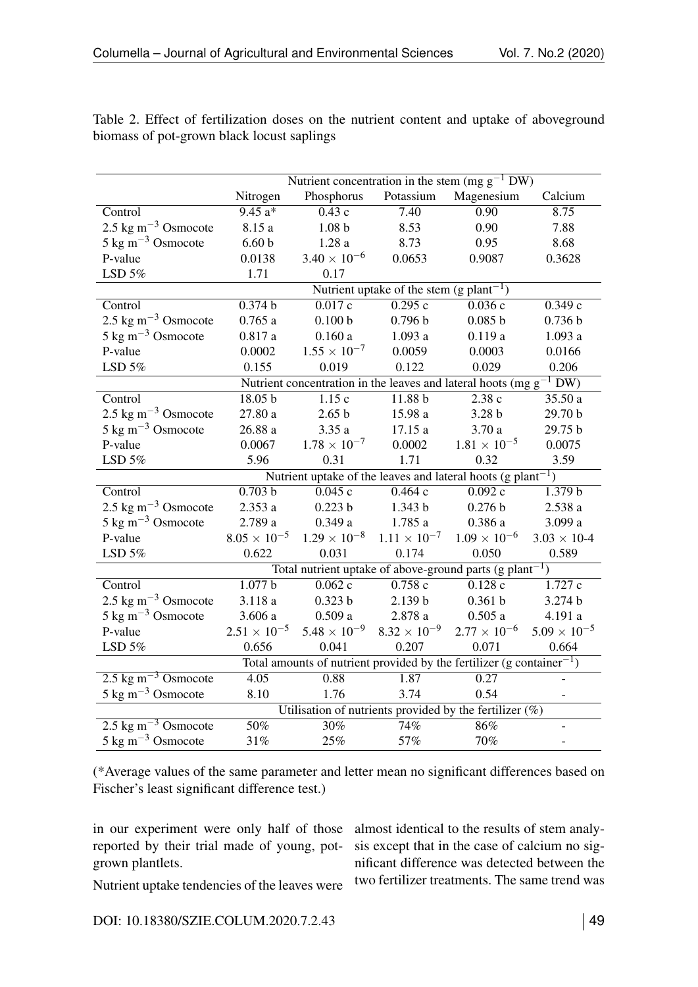|                                                                                   | Nutrient concentration in the stem (mg $g^{-1}$ DW)                      |                       |                       |                       |                       |  |  |
|-----------------------------------------------------------------------------------|--------------------------------------------------------------------------|-----------------------|-----------------------|-----------------------|-----------------------|--|--|
|                                                                                   | Nitrogen                                                                 | Phosphorus            | Potassium             | Magenesium            | Calcium               |  |  |
| Control                                                                           | $9.45 a*$                                                                | $\overline{0.43}$ c   | 7.40                  | 0.90                  | 8.75                  |  |  |
| 2.5 kg m <sup><math>-3</math></sup> Osmocote                                      | 8.15 a                                                                   | 1.08 <sub>b</sub>     | 8.53                  | 0.90                  | 7.88                  |  |  |
| $5 \text{ kg m}^{-3}$ Osmocote                                                    | 6.60 <sub>b</sub>                                                        | 1.28a                 | 8.73                  | 0.95                  | 8.68                  |  |  |
| P-value                                                                           | 0.0138                                                                   | $3.40 \times 10^{-6}$ | 0.0653                | 0.9087                | 0.3628                |  |  |
| LSD $5%$                                                                          | 1.71                                                                     | 0.17                  |                       |                       |                       |  |  |
|                                                                                   | Nutrient uptake of the stem (g plant <sup>-1</sup> )                     |                       |                       |                       |                       |  |  |
| Control                                                                           | 0.374 b                                                                  | 0.017c                | 0.295c                | 0.036c                | 0.349c                |  |  |
| $2.5 \text{ kg m}^{-3}$ Osmocote                                                  | 0.765a                                                                   | 0.100 b               | 0.796 b               | 0.085 b               | 0.736 b               |  |  |
| 5 kg m <sup><math>-3</math></sup> Osmocote                                        | 0.817a                                                                   | 0.160a                | 1.093a                | 0.119a                | 1.093 a               |  |  |
| P-value                                                                           | 0.0002                                                                   | $1.55 \times 10^{-7}$ | 0.0059                | 0.0003                | 0.0166                |  |  |
| LSD $5%$                                                                          | 0.155                                                                    | 0.019                 | 0.122                 | 0.029                 | 0.206                 |  |  |
|                                                                                   | Nutrient concentration in the leaves and lateral hoots (mg $g^{-1}$ DW)  |                       |                       |                       |                       |  |  |
| Control                                                                           | 18.05 b                                                                  | 1.15c                 | 11.88 <sub>b</sub>    | 2.38c                 | 35.50 a               |  |  |
| 2.5 kg m <sup><math>-3</math></sup> Osmocote                                      | 27.80a                                                                   | 2.65 <sub>b</sub>     | 15.98 a               | 3.28 <sub>b</sub>     | 29.70 b               |  |  |
| 5 kg m <sup><math>-3</math></sup> Osmocote                                        | 26.88a                                                                   | 3.35a                 | 17.15 a               | 3.70a                 | 29.75 b               |  |  |
| P-value                                                                           | 0.0067                                                                   | $1.78 \times 10^{-7}$ | 0.0002                | $1.81 \times 10^{-5}$ | 0.0075                |  |  |
| LSD $5\%$                                                                         | 5.96                                                                     | 0.31                  | 1.71                  | 0.32                  | 3.59                  |  |  |
|                                                                                   | Nutrient uptake of the leaves and lateral hoots (g plant <sup>-1</sup> ) |                       |                       |                       |                       |  |  |
| Control                                                                           | 0.703 b                                                                  | 0.045c                | 0.464c                | 0.092c                | 1.379 b               |  |  |
| $2.5 \text{ kg m}^{-3}$ Osmocote                                                  | 2.353a                                                                   | 0.223 b               | 1.343 b               | 0.276 b               | 2.538a                |  |  |
| $5 \text{ kg m}^{-3}$ Osmocote                                                    | 2.789a                                                                   | 0.349a                | 1.785 a               | 0.386a                | 3.099 a               |  |  |
| P-value                                                                           | $8.05 \times 10^{-5}$                                                    | $1.29 \times 10^{-8}$ | $1.11 \times 10^{-7}$ | $1.09 \times 10^{-6}$ | $3.03 \times 10 - 4$  |  |  |
| LSD $5\%$                                                                         | 0.622                                                                    | 0.031                 | 0.174                 | 0.050                 | 0.589                 |  |  |
|                                                                                   | Total nutrient uptake of above-ground parts (g plant <sup>-1</sup> )     |                       |                       |                       |                       |  |  |
| Control                                                                           | 1.077 b                                                                  | 0.062c                | 0.758c                | 0.128c                | 1.727c                |  |  |
| $2.5 \text{ kg m}^{-3}$ Osmocote                                                  | 3.118a                                                                   | 0.323 b               | 2.139 b               | 0.361 b               | 3.274 b               |  |  |
| $5 \text{ kg m}^{-3}$ Osmocote                                                    | 3.606a                                                                   | 0.509a                | $2.878$ a $\,$        | 0.505a                | 4.191 a               |  |  |
| P-value                                                                           | $2.51 \times 10^{-5}$                                                    | $5.48 \times 10^{-9}$ | $8.32 \times 10^{-9}$ | $2.77 \times 10^{-6}$ | $5.09 \times 10^{-5}$ |  |  |
| LSD $5%$                                                                          | 0.656                                                                    | 0.041                 | 0.207                 | 0.071                 | 0.664                 |  |  |
| Total amounts of nutrient provided by the fertilizer (g container <sup>-1</sup> ) |                                                                          |                       |                       |                       |                       |  |  |
| $2.5 \text{ kg m}^{-3}$ Osmocote                                                  | 4.05                                                                     | 0.88                  | 1.87                  | 0.27                  |                       |  |  |
| $5 \text{ kg m}^{-3}$ Osmocote                                                    | 8.10                                                                     | 1.76                  | 3.74                  | 0.54                  |                       |  |  |
| Utilisation of nutrients provided by the fertilizer $(\%)$                        |                                                                          |                       |                       |                       |                       |  |  |
| $2.5 \text{ kg m}^{-3}$ Osmocote                                                  | 50%                                                                      | 30%                   | 74%                   | 86%                   |                       |  |  |
| $5 \text{ kg m}^{-3}$ Osmocote                                                    | 31%                                                                      | 25%                   | 57%                   | 70%                   | $\qquad \qquad -$     |  |  |

Table 2. Effect of fertilization doses on the nutrient content and uptake of aboveground biomass of pot-grown black locust saplings

(\*Average values of the same parameter and letter mean no significant differences based on Fischer's least significant difference test.)

in our experiment were only half of those reported by their trial made of young, potgrown plantlets.

almost identical to the results of stem analysis except that in the case of calcium no significant difference was detected between the two fertilizer treatments. The same trend was

Nutrient uptake tendencies of the leaves were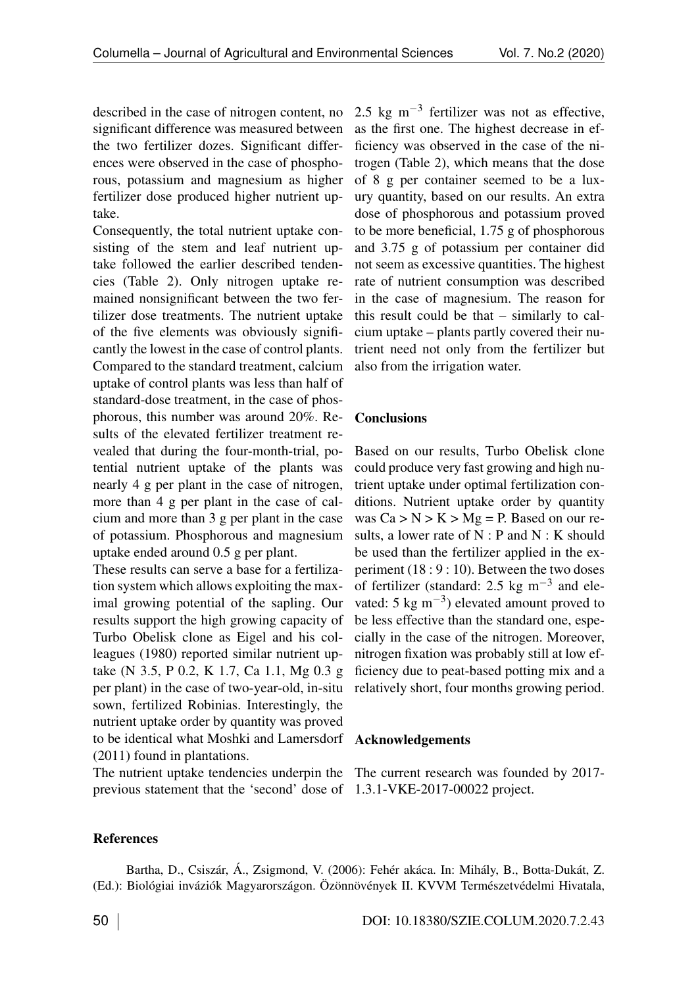described in the case of nitrogen content, no significant difference was measured between the two fertilizer dozes. Significant differences were observed in the case of phosphorous, potassium and magnesium as higher fertilizer dose produced higher nutrient uptake.

Consequently, the total nutrient uptake consisting of the stem and leaf nutrient uptake followed the earlier described tendencies (Table [2\)](#page-0-1). Only nitrogen uptake remained nonsignificant between the two fertilizer dose treatments. The nutrient uptake of the five elements was obviously significantly the lowest in the case of control plants. Compared to the standard treatment, calcium uptake of control plants was less than half of standard-dose treatment, in the case of phosphorous, this number was around 20%. Results of the elevated fertilizer treatment revealed that during the four-month-trial, potential nutrient uptake of the plants was nearly 4 g per plant in the case of nitrogen, more than 4 g per plant in the case of calcium and more than 3 g per plant in the case of potassium. Phosphorous and magnesium uptake ended around 0.5 g per plant.

These results can serve a base for a fertilization system which allows exploiting the maximal growing potential of the sapling. Our results support the high growing capacity of Turbo Obelisk clone as Eigel and his colleagues (1980) reported similar nutrient uptake (N 3.5, P 0.2, K 1.7, Ca 1.1, Mg 0.3 g per plant) in the case of two-year-old, in-situ sown, fertilized Robinias. Interestingly, the nutrient uptake order by quantity was proved to be identical what Moshki and Lamersdorf (2011) found in plantations.

The nutrient uptake tendencies underpin the The current research was founded by 2017 previous statement that the 'second' dose of 1.3.1-VKE-2017-00022 project.

2.5 kg  $\text{m}^{-3}$  fertilizer was not as effective, as the first one. The highest decrease in efficiency was observed in the case of the nitrogen (Table [2\)](#page-0-1), which means that the dose of 8 g per container seemed to be a luxury quantity, based on our results. An extra dose of phosphorous and potassium proved to be more beneficial, 1.75 g of phosphorous and 3.75 g of potassium per container did not seem as excessive quantities. The highest rate of nutrient consumption was described in the case of magnesium. The reason for this result could be that – similarly to calcium uptake – plants partly covered their nutrient need not only from the fertilizer but also from the irrigation water.

## **Conclusions**

Based on our results, Turbo Obelisk clone could produce very fast growing and high nutrient uptake under optimal fertilization conditions. Nutrient uptake order by quantity was  $Ca > N > K > Mg = P$ . Based on our results, a lower rate of  $N : P$  and  $N : K$  should be used than the fertilizer applied in the experiment (18 : 9 : 10). Between the two doses of fertilizer (standard: 2.5 kg  $\text{m}^{-3}$  and elevated: 5 kg  $\text{m}^{-3}$ ) elevated amount proved to be less effective than the standard one, especially in the case of the nitrogen. Moreover, nitrogen fixation was probably still at low efficiency due to peat-based potting mix and a relatively short, four months growing period.

#### Acknowledgements

#### References

Bartha, D., Csiszár, Á., Zsigmond, V. (2006): Fehér akáca. In: Mihály, B., Botta-Dukát, Z. (Ed.): Biológiai inváziók Magyarországon. Özönnövények II. KVVM Természetvédelmi Hivatala,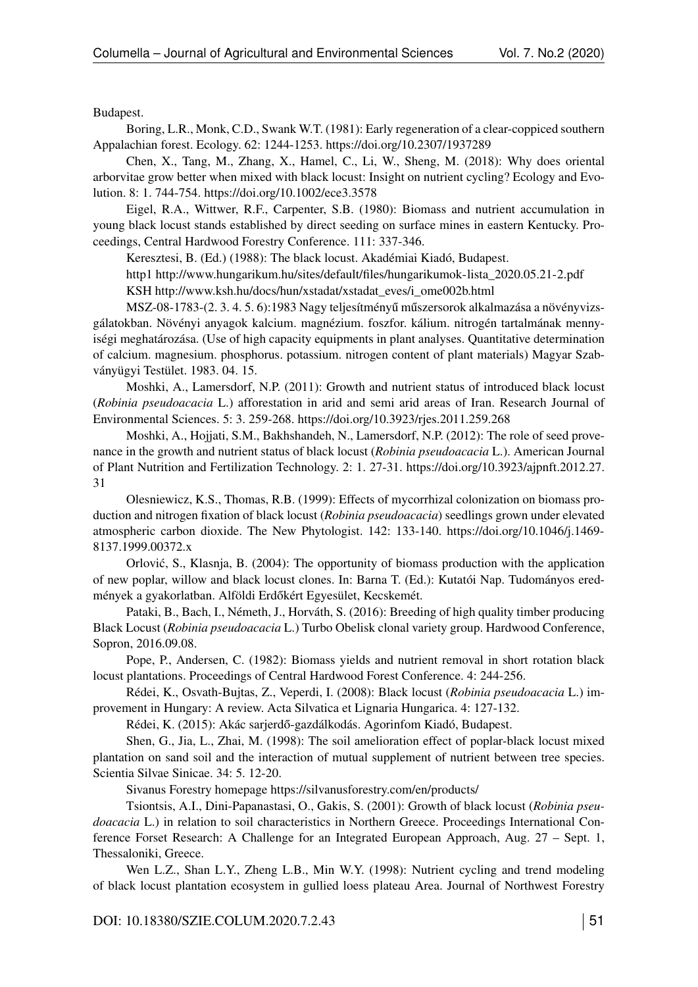Budapest.

Boring, L.R., Monk, C.D., Swank W.T. (1981): Early regeneration of a clear-coppiced southern Appalachian forest. Ecology. 62: 1244-1253.<https://doi.org/10.2307/1937289>

Chen, X., Tang, M., Zhang, X., Hamel, C., Li, W., Sheng, M. (2018): Why does oriental arborvitae grow better when mixed with black locust: Insight on nutrient cycling? Ecology and Evolution. 8: 1. 744-754.<https://doi.org/10.1002/ece3.3578>

Eigel, R.A., Wittwer, R.F., Carpenter, S.B. (1980): Biomass and nutrient accumulation in young black locust stands established by direct seeding on surface mines in eastern Kentucky. Proceedings, Central Hardwood Forestry Conference. 111: 337-346.

Keresztesi, B. (Ed.) (1988): The black locust. Akadémiai Kiadó, Budapest.

http1 [http://www.hungarikum.hu/sites/default/files/hungarikumok-lista\\_2020.05.21-2.pdf](http://www.hungarikum.hu/sites/default/files/hungarikumok-lista_2020.05.21-2.pdf) KSH [http://www.ksh.hu/docs/hun/xstadat/xstadat\\_eves/i\\_ome002b.html](http://www.ksh.hu/docs/hun/xstadat/xstadat_eves/i_ome002b.html)

MSZ-08-1783-(2. 3. 4. 5. 6):1983 Nagy teljesítményű műszersorok alkalmazása a növényvizsgálatokban. Növényi anyagok kalcium. magnézium. foszfor. kálium. nitrogén tartalmának mennyiségi meghatározása. (Use of high capacity equipments in plant analyses. Quantitative determination of calcium. magnesium. phosphorus. potassium. nitrogen content of plant materials) Magyar Szabványügyi Testület. 1983. 04. 15.

Moshki, A., Lamersdorf, N.P. (2011): Growth and nutrient status of introduced black locust (*Robinia pseudoacacia* L.) afforestation in arid and semi arid areas of Iran. Research Journal of Environmental Sciences. 5: 3. 259-268.<https://doi.org/10.3923/rjes.2011.259.268>

Moshki, A., Hojjati, S.M., Bakhshandeh, N., Lamersdorf, N.P. (2012): The role of seed provenance in the growth and nutrient status of black locust (*Robinia pseudoacacia* L.). American Journal of Plant Nutrition and Fertilization Technology. 2: 1. 27-31. [https://doi.org/10.3923/ajpnft.2012.27.](https://doi.org/10.3923/ajpnft.2012.27.31) [31](https://doi.org/10.3923/ajpnft.2012.27.31)

Olesniewicz, K.S., Thomas, R.B. (1999): Effects of mycorrhizal colonization on biomass production and nitrogen fixation of black locust (*Robinia pseudoacacia*) seedlings grown under elevated atmospheric carbon dioxide. The New Phytologist. 142: 133-140. [https://doi.org/10.1046/j.1469-](https://doi.org/10.1046/j.1469-8137.1999.00372.x) [8137.1999.00372.x](https://doi.org/10.1046/j.1469-8137.1999.00372.x)

Orlovic, S., Klasnja, B. (2004): The opportunity of biomass production with the application ´ of new poplar, willow and black locust clones. In: Barna T. (Ed.): Kutatói Nap. Tudományos eredmények a gyakorlatban. Alföldi Erdőkért Egyesület, Kecskemét.

Pataki, B., Bach, I., Németh, J., Horváth, S. (2016): Breeding of high quality timber producing Black Locust (*Robinia pseudoacacia* L.) Turbo Obelisk clonal variety group. Hardwood Conference, Sopron, 2016.09.08.

Pope, P., Andersen, C. (1982): Biomass yields and nutrient removal in short rotation black locust plantations. Proceedings of Central Hardwood Forest Conference. 4: 244-256.

Rédei, K., Osvath-Bujtas, Z., Veperdi, I. (2008): Black locust (*Robinia pseudoacacia* L.) improvement in Hungary: A review. Acta Silvatica et Lignaria Hungarica. 4: 127-132.

Rédei, K. (2015): Akác sarjerdő-gazdálkodás. Agorinfom Kiadó, Budapest.

Shen, G., Jia, L., Zhai, M. (1998): The soil amelioration effect of poplar-black locust mixed plantation on sand soil and the interaction of mutual supplement of nutrient between tree species. Scientia Silvae Sinicae. 34: 5. 12-20.

Sivanus Forestry homepage<https://silvanusforestry.com/en/products/>

Tsiontsis, A.I., Dini-Papanastasi, O., Gakis, S. (2001): Growth of black locust (*Robinia pseudoacacia* L.) in relation to soil characteristics in Northern Greece. Proceedings International Conference Forset Research: A Challenge for an Integrated European Approach, Aug. 27 – Sept. 1, Thessaloniki, Greece.

Wen L.Z., Shan L.Y., Zheng L.B., Min W.Y. (1998): Nutrient cycling and trend modeling of black locust plantation ecosystem in gullied loess plateau Area. Journal of Northwest Forestry